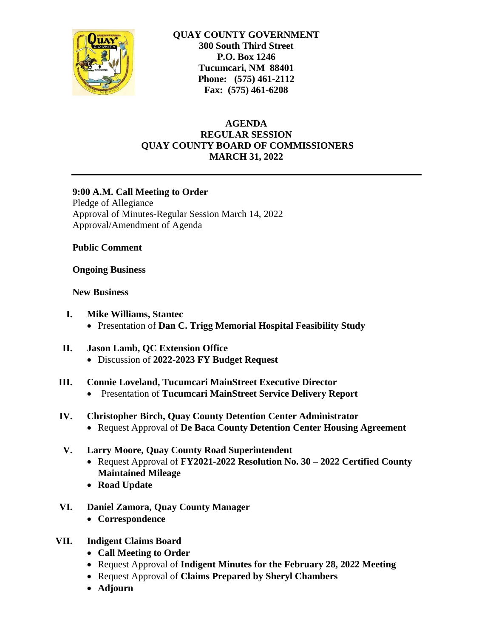

**QUAY COUNTY GOVERNMENT 300 South Third Street P.O. Box 1246 Tucumcari, NM 88401 Phone: (575) 461-2112 Fax: (575) 461-6208**

# **AGENDA REGULAR SESSION QUAY COUNTY BOARD OF COMMISSIONERS MARCH 31, 2022**

### **9:00 A.M. Call Meeting to Order**

Pledge of Allegiance Approval of Minutes-Regular Session March 14, 2022 Approval/Amendment of Agenda

**Public Comment**

#### **Ongoing Business**

### **New Business**

- **I. Mike Williams, Stantec** Presentation of **Dan C. Trigg Memorial Hospital Feasibility Study**
- **II. Jason Lamb, QC Extension Office** Discussion of **2022-2023 FY Budget Request**
- **III. Connie Loveland, Tucumcari MainStreet Executive Director**
	- Presentation of **Tucumcari MainStreet Service Delivery Report**
- **IV. Christopher Birch, Quay County Detention Center Administrator**
	- Request Approval of **De Baca County Detention Center Housing Agreement**

### **V. Larry Moore, Quay County Road Superintendent**

- Request Approval of **FY2021-2022 Resolution No. 30 – 2022 Certified County Maintained Mileage**
- **Road Update**
- **VI. Daniel Zamora, Quay County Manager**
	- **Correspondence**
- **VII. Indigent Claims Board**
	- **Call Meeting to Order**
	- Request Approval of **Indigent Minutes for the February 28, 2022 Meeting**
	- Request Approval of **Claims Prepared by Sheryl Chambers**
	- **Adjourn**